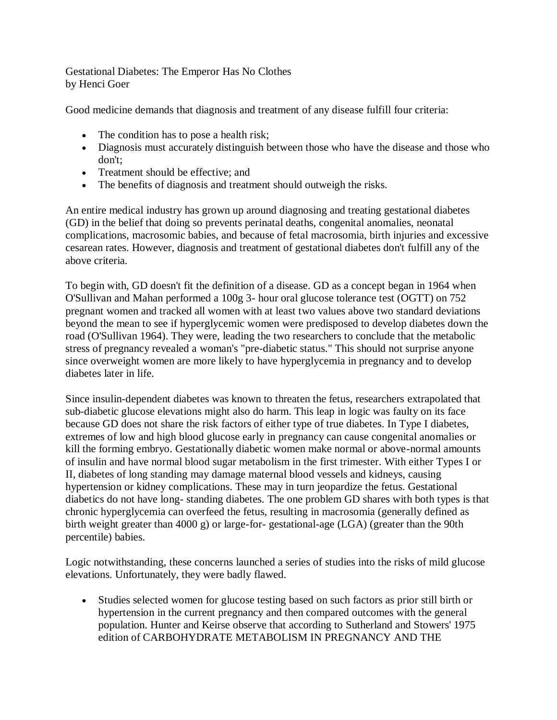Gestational Diabetes: The Emperor Has No Clothes by Henci Goer

Good medicine demands that diagnosis and treatment of any disease fulfill four criteria:

- The condition has to pose a health risk;
- Diagnosis must accurately distinguish between those who have the disease and those who don't;
- Treatment should be effective: and
- The benefits of diagnosis and treatment should outweigh the risks.

An entire medical industry has grown up around diagnosing and treating gestational diabetes (GD) in the belief that doing so prevents perinatal deaths, congenital anomalies, neonatal complications, macrosomic babies, and because of fetal macrosomia, birth injuries and excessive cesarean rates. However, diagnosis and treatment of gestational diabetes don't fulfill any of the above criteria.

To begin with, GD doesn't fit the definition of a disease. GD as a concept began in 1964 when O'Sullivan and Mahan performed a 100g 3- hour oral glucose tolerance test (OGTT) on 752 pregnant women and tracked all women with at least two values above two standard deviations beyond the mean to see if hyperglycemic women were predisposed to develop diabetes down the road (O'Sullivan 1964). They were, leading the two researchers to conclude that the metabolic stress of pregnancy revealed a woman's "pre-diabetic status." This should not surprise anyone since overweight women are more likely to have hyperglycemia in pregnancy and to develop diabetes later in life.

Since insulin-dependent diabetes was known to threaten the fetus, researchers extrapolated that sub-diabetic glucose elevations might also do harm. This leap in logic was faulty on its face because GD does not share the risk factors of either type of true diabetes. In Type I diabetes, extremes of low and high blood glucose early in pregnancy can cause congenital anomalies or kill the forming embryo. Gestationally diabetic women make normal or above-normal amounts of insulin and have normal blood sugar metabolism in the first trimester. With either Types I or II, diabetes of long standing may damage maternal blood vessels and kidneys, causing hypertension or kidney complications. These may in turn jeopardize the fetus. Gestational diabetics do not have long- standing diabetes. The one problem GD shares with both types is that chronic hyperglycemia can overfeed the fetus, resulting in macrosomia (generally defined as birth weight greater than 4000 g) or large-for- gestational-age (LGA) (greater than the 90th percentile) babies.

Logic notwithstanding, these concerns launched a series of studies into the risks of mild glucose elevations. Unfortunately, they were badly flawed.

 Studies selected women for glucose testing based on such factors as prior still birth or hypertension in the current pregnancy and then compared outcomes with the general population. Hunter and Keirse observe that according to Sutherland and Stowers' 1975 edition of CARBOHYDRATE METABOLISM IN PREGNANCY AND THE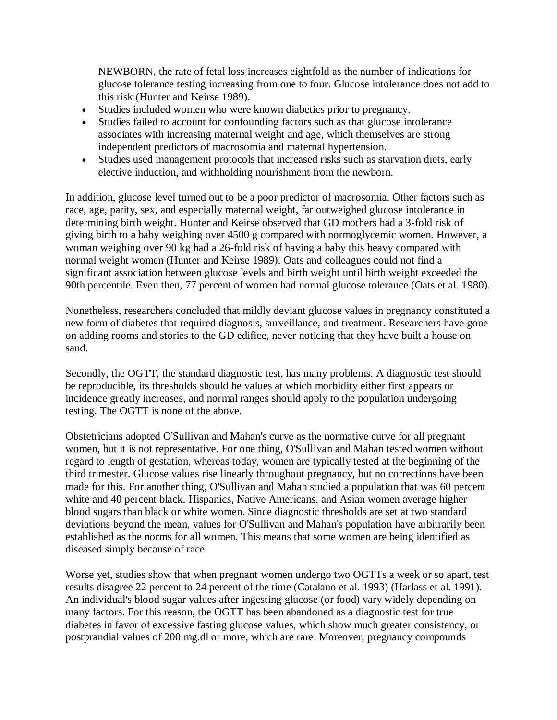NEWBORN, the rate of fetal loss increases eightfold as the number of indications for glucose tolerance testing increasing from one to four. Glucose intolerance does not add to this risk (Hunter and Keirse 1989).

- Studies included women who were known diabetics prior to pregnancy.
- Studies failed to account for confounding factors such as that glucose intolerance associates with increasing maternal weight and age, which themselves are strong independent predictors of macrosomia and maternal hypertension.
- Studies used management protocols that increased risks such as starvation diets, early elective induction, and withholding nourishment from the newborn.

In addition, glucose level turned out to be a poor predictor of macrosomia. Other factors such as race, age, parity, sex, and especially maternal weight, far outweighed glucose intolerance in determining birth weight. Hunter and Keirse observed that GD mothers had a 3-fold risk of giving birth to a baby weighing over 4500 g compared with normoglycemic women. However, a woman weighing over 90 kg had a 26-fold risk of having a baby this heavy compared with normal weight women (Hunter and Keirse 1989). Oats and colleagues could not find a significant association between glucose levels and birth weight until birth weight exceeded the 90th percentile. Even then, 77 percent of women had normal glucose tolerance (Oats et al. 1980).

Nonetheless, researchers concluded that mildly deviant glucose values in pregnancy constituted a new form of diabetes that required diagnosis, surveillance, and treatment. Researchers have gone on adding rooms and stories to the GD edifice, never noticing that they have built a house on sand.

Secondly, the OGTT, the standard diagnostic test, has many problems. A diagnostic test should be reproducible, its thresholds should be values at which morbidity either first appears or incidence greatly increases, and normal ranges should apply to the population undergoing testing. The OGTT is none of the above.

Obstetricians adopted O'Sullivan and Mahan's curve as the normative curve for all pregnant women, but it is not representative. For one thing, O'Sullivan and Mahan tested women without regard to length of gestation, whereas today, women are typically tested at the beginning of the third trimester. Glucose values rise linearly throughout pregnancy, but no corrections have been made for this. For another thing, O'Sullivan and Mahan studied a population that was 60 percent white and 40 percent black. Hispanics, Native Americans, and Asian women average higher blood sugars than black or white women. Since diagnostic thresholds are set at two standard deviations beyond the mean, values for O'Sullivan and Mahan's population have arbitrarily been established as the norms for all women. This means that some women are being identified as diseased simply because of race.

Worse yet, studies show that when pregnant women undergo two OGTTs a week or so apart, test results disagree 22 percent to 24 percent of the time (Catalano et al. 1993) (Harlass et al. 1991). An individual's blood sugar values after ingesting glucose (or food) vary widely depending on many factors. For this reason, the OGTT has been abandoned as a diagnostic test for true diabetes in favor of excessive fasting glucose values, which show much greater consistency, or postprandial values of 200 mg.dl or more, which are rare. Moreover, pregnancy compounds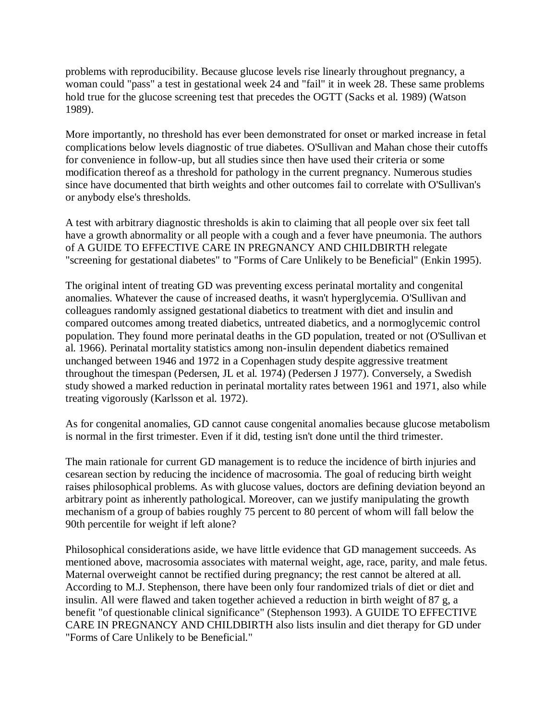problems with reproducibility. Because glucose levels rise linearly throughout pregnancy, a woman could "pass" a test in gestational week 24 and "fail" it in week 28. These same problems hold true for the glucose screening test that precedes the OGTT (Sacks et al. 1989) (Watson 1989).

More importantly, no threshold has ever been demonstrated for onset or marked increase in fetal complications below levels diagnostic of true diabetes. O'Sullivan and Mahan chose their cutoffs for convenience in follow-up, but all studies since then have used their criteria or some modification thereof as a threshold for pathology in the current pregnancy. Numerous studies since have documented that birth weights and other outcomes fail to correlate with O'Sullivan's or anybody else's thresholds.

A test with arbitrary diagnostic thresholds is akin to claiming that all people over six feet tall have a growth abnormality or all people with a cough and a fever have pneumonia. The authors of A GUIDE TO EFFECTIVE CARE IN PREGNANCY AND CHILDBIRTH relegate "screening for gestational diabetes" to "Forms of Care Unlikely to be Beneficial" (Enkin 1995).

The original intent of treating GD was preventing excess perinatal mortality and congenital anomalies. Whatever the cause of increased deaths, it wasn't hyperglycemia. O'Sullivan and colleagues randomly assigned gestational diabetics to treatment with diet and insulin and compared outcomes among treated diabetics, untreated diabetics, and a normoglycemic control population. They found more perinatal deaths in the GD population, treated or not (O'Sullivan et al. 1966). Perinatal mortality statistics among non-insulin dependent diabetics remained unchanged between 1946 and 1972 in a Copenhagen study despite aggressive treatment throughout the timespan (Pedersen, JL et al. 1974) (Pedersen J 1977). Conversely, a Swedish study showed a marked reduction in perinatal mortality rates between 1961 and 1971, also while treating vigorously (Karlsson et al. 1972).

As for congenital anomalies, GD cannot cause congenital anomalies because glucose metabolism is normal in the first trimester. Even if it did, testing isn't done until the third trimester.

The main rationale for current GD management is to reduce the incidence of birth injuries and cesarean section by reducing the incidence of macrosomia. The goal of reducing birth weight raises philosophical problems. As with glucose values, doctors are defining deviation beyond an arbitrary point as inherently pathological. Moreover, can we justify manipulating the growth mechanism of a group of babies roughly 75 percent to 80 percent of whom will fall below the 90th percentile for weight if left alone?

Philosophical considerations aside, we have little evidence that GD management succeeds. As mentioned above, macrosomia associates with maternal weight, age, race, parity, and male fetus. Maternal overweight cannot be rectified during pregnancy; the rest cannot be altered at all. According to M.J. Stephenson, there have been only four randomized trials of diet or diet and insulin. All were flawed and taken together achieved a reduction in birth weight of 87 g, a benefit "of questionable clinical significance" (Stephenson 1993). A GUIDE TO EFFECTIVE CARE IN PREGNANCY AND CHILDBIRTH also lists insulin and diet therapy for GD under "Forms of Care Unlikely to be Beneficial."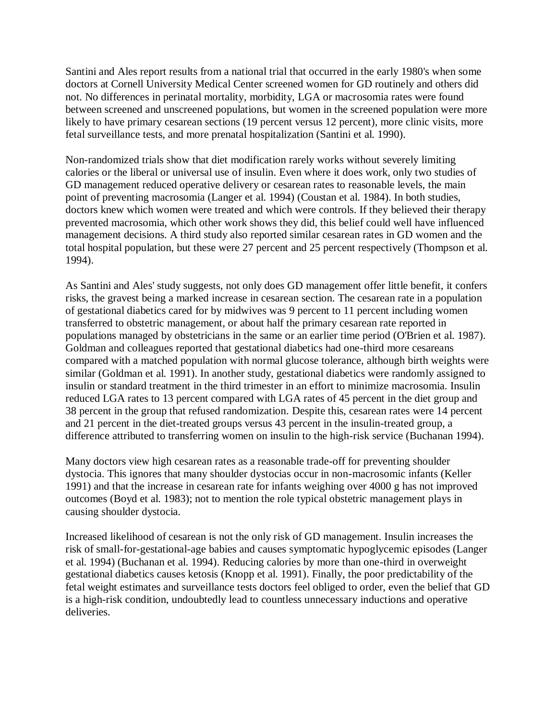Santini and Ales report results from a national trial that occurred in the early 1980's when some doctors at Cornell University Medical Center screened women for GD routinely and others did not. No differences in perinatal mortality, morbidity, LGA or macrosomia rates were found between screened and unscreened populations, but women in the screened population were more likely to have primary cesarean sections (19 percent versus 12 percent), more clinic visits, more fetal surveillance tests, and more prenatal hospitalization (Santini et al. 1990).

Non-randomized trials show that diet modification rarely works without severely limiting calories or the liberal or universal use of insulin. Even where it does work, only two studies of GD management reduced operative delivery or cesarean rates to reasonable levels, the main point of preventing macrosomia (Langer et al. 1994) (Coustan et al. 1984). In both studies, doctors knew which women were treated and which were controls. If they believed their therapy prevented macrosomia, which other work shows they did, this belief could well have influenced management decisions. A third study also reported similar cesarean rates in GD women and the total hospital population, but these were 27 percent and 25 percent respectively (Thompson et al. 1994).

As Santini and Ales' study suggests, not only does GD management offer little benefit, it confers risks, the gravest being a marked increase in cesarean section. The cesarean rate in a population of gestational diabetics cared for by midwives was 9 percent to 11 percent including women transferred to obstetric management, or about half the primary cesarean rate reported in populations managed by obstetricians in the same or an earlier time period (O'Brien et al. 1987). Goldman and colleagues reported that gestational diabetics had one-third more cesareans compared with a matched population with normal glucose tolerance, although birth weights were similar (Goldman et al. 1991). In another study, gestational diabetics were randomly assigned to insulin or standard treatment in the third trimester in an effort to minimize macrosomia. Insulin reduced LGA rates to 13 percent compared with LGA rates of 45 percent in the diet group and 38 percent in the group that refused randomization. Despite this, cesarean rates were 14 percent and 21 percent in the diet-treated groups versus 43 percent in the insulin-treated group, a difference attributed to transferring women on insulin to the high-risk service (Buchanan 1994).

Many doctors view high cesarean rates as a reasonable trade-off for preventing shoulder dystocia. This ignores that many shoulder dystocias occur in non-macrosomic infants (Keller 1991) and that the increase in cesarean rate for infants weighing over 4000 g has not improved outcomes (Boyd et al. 1983); not to mention the role typical obstetric management plays in causing shoulder dystocia.

Increased likelihood of cesarean is not the only risk of GD management. Insulin increases the risk of small-for-gestational-age babies and causes symptomatic hypoglycemic episodes (Langer et al. 1994) (Buchanan et al. 1994). Reducing calories by more than one-third in overweight gestational diabetics causes ketosis (Knopp et al. 1991). Finally, the poor predictability of the fetal weight estimates and surveillance tests doctors feel obliged to order, even the belief that GD is a high-risk condition, undoubtedly lead to countless unnecessary inductions and operative deliveries.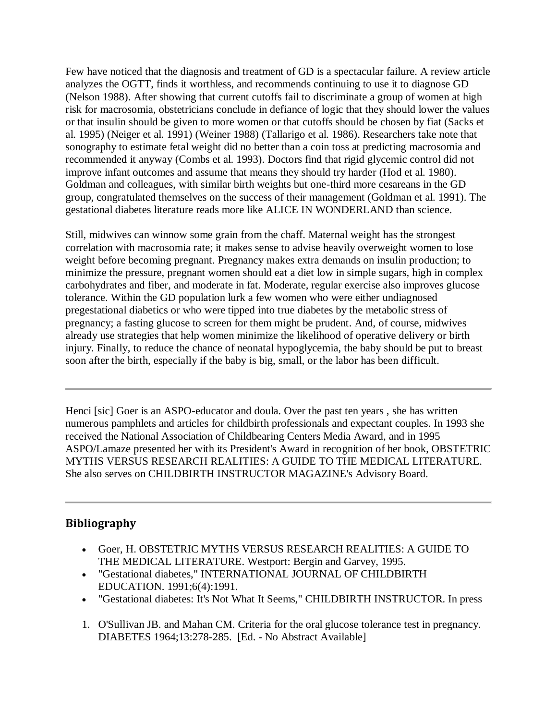Few have noticed that the diagnosis and treatment of GD is a spectacular failure. A review article analyzes the OGTT, finds it worthless, and recommends continuing to use it to diagnose GD (Nelson 1988). After showing that current cutoffs fail to discriminate a group of women at high risk for macrosomia, obstetricians conclude in defiance of logic that they should lower the values or that insulin should be given to more women or that cutoffs should be chosen by fiat (Sacks et al. 1995) (Neiger et al. 1991) (Weiner 1988) (Tallarigo et al. 1986). Researchers take note that sonography to estimate fetal weight did no better than a coin toss at predicting macrosomia and recommended it anyway (Combs et al. 1993). Doctors find that rigid glycemic control did not improve infant outcomes and assume that means they should try harder (Hod et al. 1980). Goldman and colleagues, with similar birth weights but one-third more cesareans in the GD group, congratulated themselves on the success of their management (Goldman et al. 1991). The gestational diabetes literature reads more like ALICE IN WONDERLAND than science.

Still, midwives can winnow some grain from the chaff. Maternal weight has the strongest correlation with macrosomia rate; it makes sense to advise heavily overweight women to lose weight before becoming pregnant. Pregnancy makes extra demands on insulin production; to minimize the pressure, pregnant women should eat a diet low in simple sugars, high in complex carbohydrates and fiber, and moderate in fat. Moderate, regular exercise also improves glucose tolerance. Within the GD population lurk a few women who were either undiagnosed pregestational diabetics or who were tipped into true diabetes by the metabolic stress of pregnancy; a fasting glucose to screen for them might be prudent. And, of course, midwives already use strategies that help women minimize the likelihood of operative delivery or birth injury. Finally, to reduce the chance of neonatal hypoglycemia, the baby should be put to breast soon after the birth, especially if the baby is big, small, or the labor has been difficult.

Henci [sic] Goer is an ASPO-educator and doula. Over the past ten years , she has written numerous pamphlets and articles for childbirth professionals and expectant couples. In 1993 she received the National Association of Childbearing Centers Media Award, and in 1995 ASPO/Lamaze presented her with its President's Award in recognition of her book, OBSTETRIC MYTHS VERSUS RESEARCH REALITIES: A GUIDE TO THE MEDICAL LITERATURE. She also serves on CHILDBIRTH INSTRUCTOR MAGAZINE's Advisory Board.

## **Bibliography**

- Goer, H. OBSTETRIC MYTHS VERSUS RESEARCH REALITIES: A GUIDE TO THE MEDICAL LITERATURE. Westport: Bergin and Garvey, 1995.
- "Gestational diabetes," INTERNATIONAL JOURNAL OF CHILDBIRTH EDUCATION. 1991;6(4):1991.
- "Gestational diabetes: It's Not What It Seems," CHILDBIRTH INSTRUCTOR. In press
- 1. O'Sullivan JB. and Mahan CM. Criteria for the oral glucose tolerance test in pregnancy. DIABETES 1964;13:278-285. [Ed. - No Abstract Available]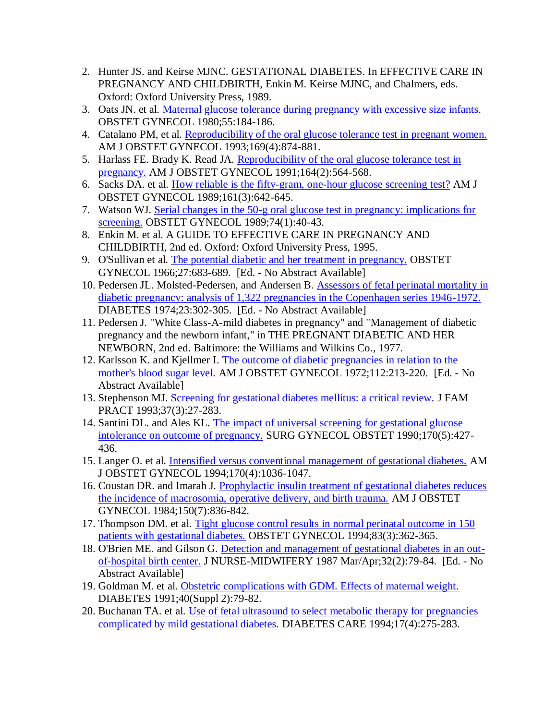- 2. Hunter JS. and Keirse MJNC. GESTATIONAL DIABETES. In EFFECTIVE CARE IN PREGNANCY AND CHILDBIRTH, Enkin M. Keirse MJNC, and Chalmers, eds. Oxford: Oxford University Press, 1989.
- 3. Oats JN. et al. [Maternal glucose tolerance during pregnancy with excessive size infants.](http://www.ncbi.nlm.nih.gov/entrez/query.fcgi?cmd=Retrieve&db=pubmed&dopt=Abstract&list_uids=7352078) OBSTET GYNECOL 1980;55:184-186.
- 4. Catalano PM, et al. [Reproducibility of the oral glucose tolerance test in pregnant women.](http://www.ncbi.nlm.nih.gov/entrez/query.fcgi?cmd=Retrieve&db=pubmed&dopt=Abstract&list_uids=8238142) AM J OBSTET GYNECOL 1993;169(4):874-881.
- 5. Harlass FE. Brady K. Read JA. Reproducibility of the oral glucose tolerance test in [pregnancy.](http://www.ncbi.nlm.nih.gov/entrez/query.fcgi?cmd=Retrieve&db=pubmed&dopt=Abstract&list_uids=1992702) AM J OBSTET GYNECOL 1991;164(2):564-568.
- 6. Sacks DA. et al. [How reliable is the fifty-gram, one-hour glucose screening test?](http://www.ncbi.nlm.nih.gov/entrez/query.fcgi?cmd=Retrieve&db=pubmed&dopt=Abstract&list_uids=2782346) AM J OBSTET GYNECOL 1989;161(3):642-645.
- 7. Watson WJ. [Serial changes in the 50-g oral glucose test in pregnancy: implications for](http://www.ncbi.nlm.nih.gov/entrez/query.fcgi?cmd=Retrieve&db=pubmed&dopt=Abstract&list_uids=2733939)  [screening.](http://www.ncbi.nlm.nih.gov/entrez/query.fcgi?cmd=Retrieve&db=pubmed&dopt=Abstract&list_uids=2733939) OBSTET GYNECOL 1989;74(1):40-43.
- 8. Enkin M. et al. A GUIDE TO EFFECTIVE CARE IN PREGNANCY AND CHILDBIRTH, 2nd ed. Oxford: Oxford University Press, 1995.
- 9. O'Sullivan et al. [The potential diabetic and her](http://www.ncbi.nlm.nih.gov/entrez/query.fcgi?cmd=Retrieve&db=pubmed&dopt=Abstract&list_uids=5936737) treatment in pregnancy. OBSTET GYNECOL 1966;27:683-689. [Ed. - No Abstract Available]
- 10. Pedersen JL. Molsted-Pedersen, and Andersen B. [Assessors of fetal perinatal mortality in](http://www.ncbi.nlm.nih.gov/entrez/query.fcgi?cmd=Retrieve&db=pubmed&dopt=Abstract&list_uids=4207365)  [diabetic pregnancy: analysis of 1,322 pregnancies in the Copenhagen series 1946-1972.](http://www.ncbi.nlm.nih.gov/entrez/query.fcgi?cmd=Retrieve&db=pubmed&dopt=Abstract&list_uids=4207365) DIABETES 1974;23:302-305. [Ed. - No Abstract Available]
- 11. Pedersen J. "White Class-A-mild diabetes in pregnancy" and "Management of diabetic pregnancy and the newborn infant," in THE PREGNANT DIABETIC AND HER NEWBORN, 2nd ed. Baltimore: the Williams and Wilkins Co., 1977.
- 12. Karlsson K. and Kjellmer I. [The outcome of diabetic pregnancies in relation to the](http://www.ncbi.nlm.nih.gov/entrez/query.fcgi?cmd=Retrieve&db=pubmed&dopt=Abstract&list_uids=5008447)  [mother's blood sugar level.](http://www.ncbi.nlm.nih.gov/entrez/query.fcgi?cmd=Retrieve&db=pubmed&dopt=Abstract&list_uids=5008447) AM J OBSTET GYNECOL 1972;112:213-220. [Ed. - No Abstract Available]
- 13. Stephenson MJ. [Screening for gestational diabetes mellitus: a critical review.](http://www.ncbi.nlm.nih.gov/entrez/query.fcgi?cmd=Retrieve&db=pubmed&dopt=Abstract&list_uids=8409879) J FAM PRACT 1993;37(3):27-283.
- 14. Santini DL. and Ales KL. [The impact of universal screening for gestational glucose](http://www.ncbi.nlm.nih.gov/entrez/query.fcgi?cmd=Retrieve&db=pubmed&dopt=Abstract&list_uids=2326724)  [intolerance on outcome of pregnancy.](http://www.ncbi.nlm.nih.gov/entrez/query.fcgi?cmd=Retrieve&db=pubmed&dopt=Abstract&list_uids=2326724) SURG GYNECOL OBSTET 1990;170(5):427- 436.
- 15. Langer O. et al. [Intensified versus conventional management of gestational diabetes.](http://www.ncbi.nlm.nih.gov/entrez/query.fcgi?cmd=Retrieve&db=pubmed&dopt=Abstract&list_uids=8166187) AM J OBSTET GYNECOL 1994;170(4):1036-1047.
- 16. Coustan DR. and Imarah J. [Prophylactic insulin treatment of gestational diabetes reduces](http://www.ncbi.nlm.nih.gov/entrez/query.fcgi?cmd=Retrieve&db=pubmed&dopt=Abstract&list_uids=6391174)  [the incidence of macrosomia, operative delivery, and birth trauma.](http://www.ncbi.nlm.nih.gov/entrez/query.fcgi?cmd=Retrieve&db=pubmed&dopt=Abstract&list_uids=6391174) AM J OBSTET GYNECOL 1984;150(7):836-842.
- 17. Thompson DM. et al. [Tight glucose control results in normal perinatal outcome in 150](http://www.ncbi.nlm.nih.gov/entrez/query.fcgi?cmd=Retrieve&db=pubmed&dopt=Abstract&list_uids=8127526)  [patients with gestational diabetes.](http://www.ncbi.nlm.nih.gov/entrez/query.fcgi?cmd=Retrieve&db=pubmed&dopt=Abstract&list_uids=8127526) OBSTET GYNECOL 1994;83(3):362-365.
- 18. O'Brien ME. and Gilson G. [Detection and management of gestational diabetes in an out](http://www.ncbi.nlm.nih.gov/entrez/query.fcgi?cmd=Retrieve&db=pubmed&dopt=Abstract&list_uids=3646319)[of-hospital birth center.](http://www.ncbi.nlm.nih.gov/entrez/query.fcgi?cmd=Retrieve&db=pubmed&dopt=Abstract&list_uids=3646319) J NURSE-MIDWIFERY 1987 Mar/Apr;32(2):79-84. [Ed. - No Abstract Available]
- 19. Goldman M. et al. [Obstetric complications with GDM. Effects of maternal weight.](http://www.ncbi.nlm.nih.gov/entrez/query.fcgi?cmd=Retrieve&db=pubmed&dopt=Abstract&list_uids=1748271) DIABETES 1991;40(Suppl 2):79-82.
- 20. Buchanan TA. et al. [Use of fetal ultrasound to select metabolic therapy for pregnancies](http://www.ncbi.nlm.nih.gov/entrez/query.fcgi?cmd=Retrieve&db=pubmed&dopt=Abstract&list_uids=8026282)  [complicated by mild gestational diabetes.](http://www.ncbi.nlm.nih.gov/entrez/query.fcgi?cmd=Retrieve&db=pubmed&dopt=Abstract&list_uids=8026282) DIABETES CARE 1994;17(4):275-283.